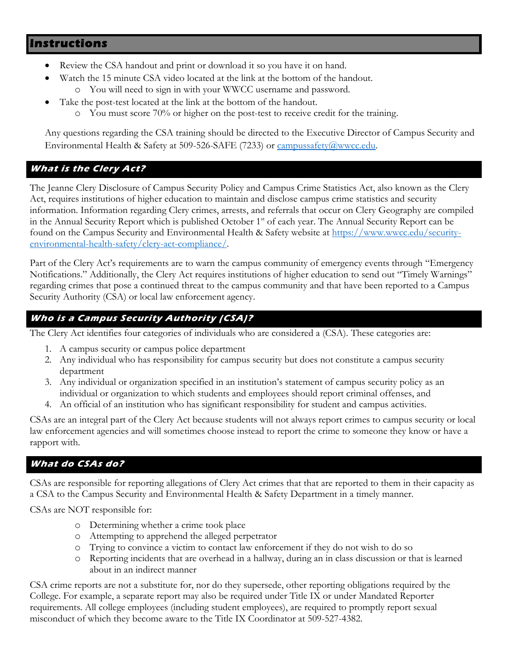# **Instructions**

- Review the CSA handout and print or download it so you have it on hand.
- Watch the 15 minute CSA video located at the link at the bottom of the handout.
	- o You will need to sign in with your WWCC username and password.
- Take the post-test located at the link at the bottom of the handout.
	- o You must score 70% or higher on the post-test to receive credit for the training.

Any questions regarding the CSA training should be directed to the Executive Director of Campus Security and Environmental Health & Safety at 509-526-SAFE (7233) or [campussafety@wwcc.edu.](mailto:campussafety@wwcc.edu)

## **What is the Clery Act?**

The Jeanne Clery Disclosure of Campus Security Policy and Campus Crime Statistics Act, also known as the Clery Act, requires institutions of higher education to maintain and disclose campus crime statistics and security information. Information regarding Clery crimes, arrests, and referrals that occur on Clery Geography are compiled in the Annual Security Report which is published October  $1<sup>st</sup>$  of each year. The Annual Security Report can be found on the Campus Security and Environmental Health & Safety website at [https://www.wwcc.edu/security](https://www.wwcc.edu/security-environmental-health-safety/clery-act-compliance/)[environmental-health-safety/clery-act-compliance/.](https://www.wwcc.edu/security-environmental-health-safety/clery-act-compliance/)

Part of the Clery Act's requirements are to warn the campus community of emergency events through "Emergency Notifications." Additionally, the Clery Act requires institutions of higher education to send out "Timely Warnings" regarding crimes that pose a continued threat to the campus community and that have been reported to a Campus Security Authority (CSA) or local law enforcement agency.

## **Who is a Campus Security Authority (CSA)?**

The Clery Act identifies four categories of individuals who are considered a (CSA). These categories are:

- 1. A campus security or campus police department
- 2. Any individual who has responsibility for campus security but does not constitute a campus security department
- 3. Any individual or organization specified in an institution's statement of campus security policy as an individual or organization to which students and employees should report criminal offenses, and
- 4. An official of an institution who has significant responsibility for student and campus activities.

CSAs are an integral part of the Clery Act because students will not always report crimes to campus security or local law enforcement agencies and will sometimes choose instead to report the crime to someone they know or have a rapport with.

#### **What do CSAs do?**

CSAs are responsible for reporting allegations of Clery Act crimes that that are reported to them in their capacity as a CSA to the Campus Security and Environmental Health & Safety Department in a timely manner.

CSAs are NOT responsible for:

- o Determining whether a crime took place
- o Attempting to apprehend the alleged perpetrator
- o Trying to convince a victim to contact law enforcement if they do not wish to do so
- o Reporting incidents that are overhead in a hallway, during an in class discussion or that is learned about in an indirect manner

CSA crime reports are not a substitute for, nor do they supersede, other reporting obligations required by the College. For example, a separate report may also be required under Title IX or under Mandated Reporter requirements. All college employees (including student employees), are required to promptly report sexual misconduct of which they become aware to the Title IX Coordinator at 509-527-4382.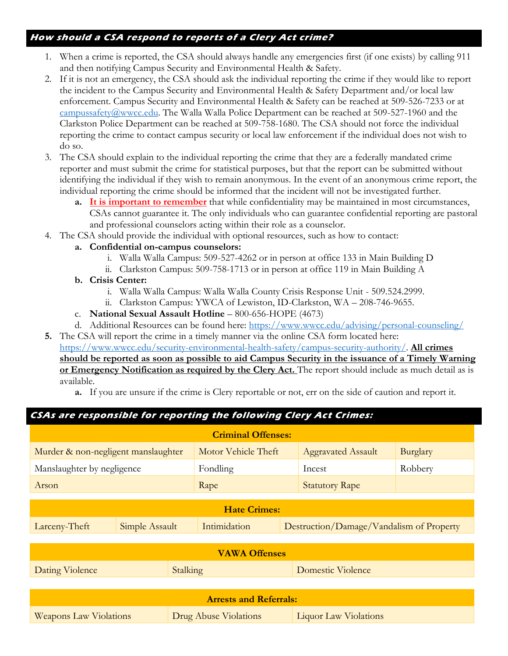#### **How should a CSA respond to reports of a Clery Act crime?**

- 1. When a crime is reported, the CSA should always handle any emergencies first (if one exists) by calling 911 and then notifying Campus Security and Environmental Health & Safety.
- 2. If it is not an emergency, the CSA should ask the individual reporting the crime if they would like to report the incident to the Campus Security and Environmental Health & Safety Department and/or local law enforcement. Campus Security and Environmental Health & Safety can be reached at 509-526-7233 or at [campussafety@wwcc.edu.](mailto:campussafety@wwcc.edu) The Walla Walla Police Department can be reached at 509-527-1960 and the Clarkston Police Department can be reached at 509-758-1680. The CSA should not force the individual reporting the crime to contact campus security or local law enforcement if the individual does not wish to do so.
- 3. The CSA should explain to the individual reporting the crime that they are a federally mandated crime reporter and must submit the crime for statistical purposes, but that the report can be submitted without identifying the individual if they wish to remain anonymous. In the event of an anonymous crime report, the individual reporting the crime should be informed that the incident will not be investigated further.
	- **a. It is important to remember** that while confidentiality may be maintained in most circumstances, CSAs cannot guarantee it. The only individuals who can guarantee confidential reporting are pastoral and professional counselors acting within their role as a counselor.
- 4. The CSA should provide the individual with optional resources, such as how to contact:
	- **a. Confidential on-campus counselors:**
		- i. Walla Walla Campus: 509-527-4262 or in person at office 133 in Main Building D
		- ii. Clarkston Campus: 509-758-1713 or in person at office 119 in Main Building A
	- **b. Crisis Center:**
		- i. Walla Walla Campus: Walla Walla County Crisis Response Unit 509.524.2999.
		- ii. Clarkston Campus: YWCA of Lewiston, ID-Clarkston, WA 208-746-9655.
	- c. **National Sexual Assault Hotline** 800-656-HOPE (4673)
	- d. Additional Resources can be found here:<https://www.wwcc.edu/advising/personal-counseling/>
- **5.** The CSA will report the crime in a timely manner via the online CSA form located here: [https://www.wwcc.edu/security-environmental-health-safety/campus-security-authority/.](https://www.wwcc.edu/security-environmental-health-safety/campus-security-authority/) **All crimes should be reported as soon as possible to aid Campus Security in the issuance of a Timely Warning or Emergency Notification as required by the Clery Act.** The report should include as much detail as is available.
	- **a.** If you are unsure if the crime is Clery reportable or not, err on the side of caution and report it.

# **CSAs are responsible for reporting the following Clery Act Crimes: Criminal Offenses:** Murder & non-negligent manslaughter | Motor Vehicle Theft | Aggravated Assault | Burglary Manslaughter by negligence Fondling Fondling Incest Robbery Arson Rape Rape Statutory Rape Statutory Rape Statutory Rape Statutory Rape Statutory Rape Statutory Rape Statutory Rape Statutory Rape Statutory Rape Statutory Rape Statutory Rape Statutory Rape Statutory Rape Statutory R **Hate Crimes:**  Larceny-Theft Simple Assault Intimidation Destruction/Damage/Vandalism of Property **VAWA Offenses**  Dating Violence Stalking Basic Violence Stalking Domestic Violence **Arrests and Referrals:**  Weapons Law Violations Drug Abuse Violations Liquor Law Violations